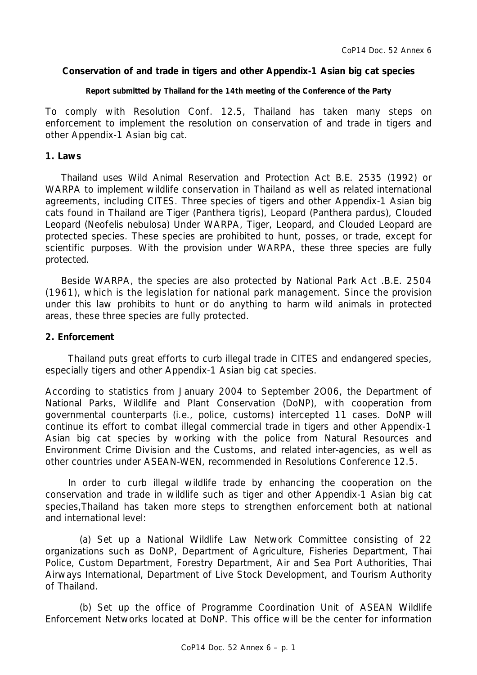## **Conservation of and trade in tigers and other Appendix-1 Asian big cat species**

#### **Report submitted by Thailand for the 14th meeting of the Conference of the Party**

To comply with Resolution Conf. 12.5, Thailand has taken many steps on enforcement to implement the resolution on conservation of and trade in tigers and other Appendix-1 Asian big cat.

## **1. Laws**

Thailand uses Wild Animal Reservation and Protection Act B.E. 2535 (1992) or WARPA to implement wildlife conservation in Thailand as well as related international agreements, including CITES. Three species of tigers and other Appendix-1 Asian big cats found in Thailand are Tiger (*Panthera tigris),* Leopard (*Panthera pardus*), Clouded Leopard (*Neofelis nebulosa*) Under WARPA, Tiger, Leopard, and Clouded Leopard are protected species. These species are prohibited to hunt, posses, or trade, except for scientific purposes. With the provision under WARPA, these three species are fully protected.

 Beside WARPA, the species are also protected by National Park Act .B.E. 2504 (1961), which is the legislation for national park management. Since the provision under this law prohibits to hunt or do anything to harm wild animals in protected areas, these three species are fully protected.

## **2. Enforcement**

Thailand puts great efforts to curb illegal trade in CITES and endangered species, especially tigers and other Appendix-1 Asian big cat species.

According to statistics from January 2004 to September 2O06, the Department of National Parks, Wildlife and Plant Conservation (DoNP), with cooperation from governmental counterparts (i.e., police, customs) intercepted 11 cases. DoNP will continue its effort to combat illegal commercial trade in tigers and other Appendix-1 Asian big cat species by working with the police from Natural Resources and Environment Crime Division and the Customs, and related inter-agencies, as well as other countries under ASEAN-WEN, recommended in Resolutions Conference 12.5.

In order to curb illegal wildlife trade by enhancing the cooperation on the conservation and trade in wildlife such as tiger and other Appendix-1 Asian big cat species,Thailand has taken more steps to strengthen enforcement both at national and international level:

(a) Set up a National Wildlife Law Network Committee consisting of 22 organizations such as DoNP, Department of Agriculture, Fisheries Department, Thai Police, Custom Department, Forestry Department, Air and Sea Port Authorities, Thai Airways International, Department of Live Stock Development, and Tourism Authority of Thailand.

(b) Set up the office of Programme Coordination Unit of ASEAN Wildlife Enforcement Networks located at DoNP. This office will be the center for information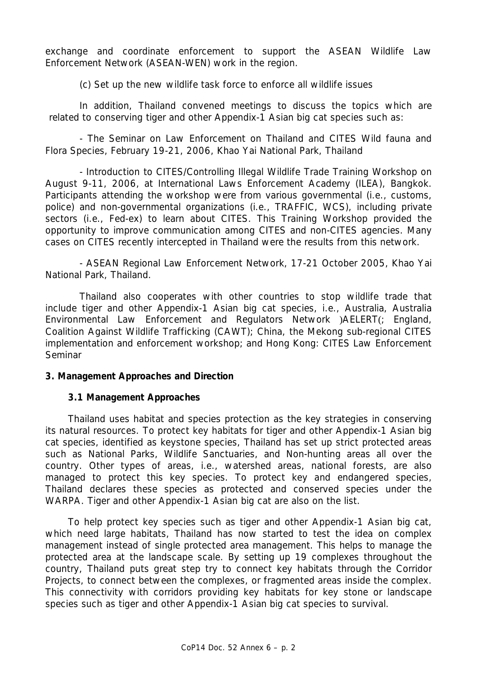exchange and coordinate enforcement to support the ASEAN Wildlife Law Enforcement Network (ASEAN-WEN) work in the region.

(c) Set up the new wildlife task force to enforce all wildlife issues

In addition, Thailand convened meetings to discuss the topics which are related to conserving tiger and other Appendix-1 Asian big cat species such as:

- The Seminar on Law Enforcement on Thailand and CITES Wild fauna and Flora Species, February 19-21, 2006, Khao Yai National Park, Thailand

- Introduction to CITES/Controlling Illegal Wildlife Trade Training Workshop on August 9-11, 2006, at International Laws Enforcement Academy (ILEA), Bangkok. Participants attending the workshop were from various governmental (i.e., customs, police) and non-governmental organizations (i.e., TRAFFIC, WCS), including private sectors (i.e., Fed-ex) to learn about CITES. This Training Workshop provided the opportunity to improve communication among CITES and non-CITES agencies. Many cases on CITES recently intercepted in Thailand were the results from this network.

- ASEAN Regional Law Enforcement Network, 17-21 October 2005, Khao Yai National Park, Thailand.

Thailand also cooperates with other countries to stop wildlife trade that include tiger and other Appendix-1 Asian big cat species, i.e., Australia, Australia Environmental Law Enforcement and Regulators Network )AELERT(; England, Coalition Against Wildlife Trafficking (CAWT); China, the Mekong sub-regional CITES implementation and enforcement workshop; and Hong Kong: CITES Law Enforcement **Seminar** 

### **3. Management Approaches and Direction**

### **3.1 Management Approaches**

Thailand uses habitat and species protection as the key strategies in conserving its natural resources. To protect key habitats for tiger and other Appendix-1 Asian big cat species, identified as keystone species, Thailand has set up strict protected areas such as National Parks, Wildlife Sanctuaries, and Non-hunting areas all over the country. Other types of areas, i.e., watershed areas, national forests, are also managed to protect this key species. To protect key and endangered species, Thailand declares these species as protected and conserved species under the WARPA. Tiger and other Appendix-1 Asian big cat are also on the list.

To help protect key species such as tiger and other Appendix-1 Asian big cat, which need large habitats, Thailand has now started to test the idea on complex management instead of single protected area management. This helps to manage the protected area at the landscape scale. By setting up 19 complexes throughout the country, Thailand puts great step try to connect key habitats through the Corridor Projects, to connect between the complexes, or fragmented areas inside the complex. This connectivity with corridors providing key habitats for key stone or landscape species such as tiger and other Appendix-1 Asian big cat species to survival.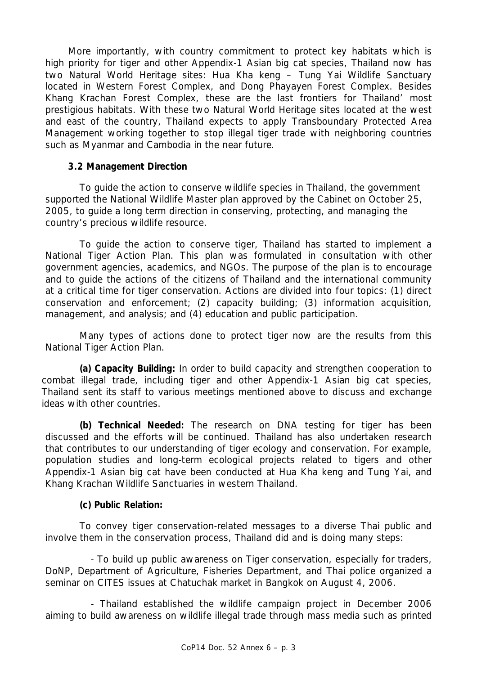More importantly, with country commitment to protect key habitats which is high priority for tiger and other Appendix-1 Asian big cat species, Thailand now has two Natural World Heritage sites: Hua Kha keng – Tung Yai Wildlife Sanctuary located in Western Forest Complex, and Dong Phayayen Forest Complex. Besides Khang Krachan Forest Complex, these are the last frontiers for Thailand' most prestigious habitats. With these two Natural World Heritage sites located at the west and east of the country, Thailand expects to apply Transboundary Protected Area Management working together to stop illegal tiger trade with neighboring countries such as Myanmar and Cambodia in the near future.

## **3.2 Management Direction**

To guide the action to conserve wildlife species in Thailand, the government supported the National Wildlife Master plan approved by the Cabinet on October 25, 2005, to guide a long term direction in conserving, protecting, and managing the country's precious wildlife resource.

To guide the action to conserve tiger, Thailand has started to implement a National Tiger Action Plan. This plan was formulated in consultation with other government agencies, academics, and NGOs. The purpose of the plan is to encourage and to guide the actions of the citizens of Thailand and the international community at a critical time for tiger conservation. Actions are divided into four topics: (1) direct conservation and enforcement; (2) capacity building; (3) information acquisition, management, and analysis; and (4) education and public participation.

Many types of actions done to protect tiger now are the results from this National Tiger Action Plan.

**(a) Capacity Building:** In order to build capacity and strengthen cooperation to combat illegal trade, including tiger and other Appendix-1 Asian big cat species, Thailand sent its staff to various meetings mentioned above to discuss and exchange ideas with other countries.

**(b) Technical Needed:** The research on DNA testing for tiger has been discussed and the efforts will be continued. Thailand has also undertaken research that contributes to our understanding of tiger ecology and conservation. For example, population studies and long-term ecological projects related to tigers and other Appendix-1 Asian big cat have been conducted at Hua Kha keng and Tung Yai, and Khang Krachan Wildlife Sanctuaries in western Thailand.

# **(c) Public Relation:**

To convey tiger conservation-related messages to a diverse Thai public and involve them in the conservation process, Thailand did and is doing many steps:

- To build up public awareness on Tiger conservation, especially for traders, DoNP, Department of Agriculture, Fisheries Department, and Thai police organized a seminar on CITES issues at Chatuchak market in Bangkok on August 4, 2006.

- Thailand established the wildlife campaign project in December 2006 aiming to build awareness on wildlife illegal trade through mass media such as printed